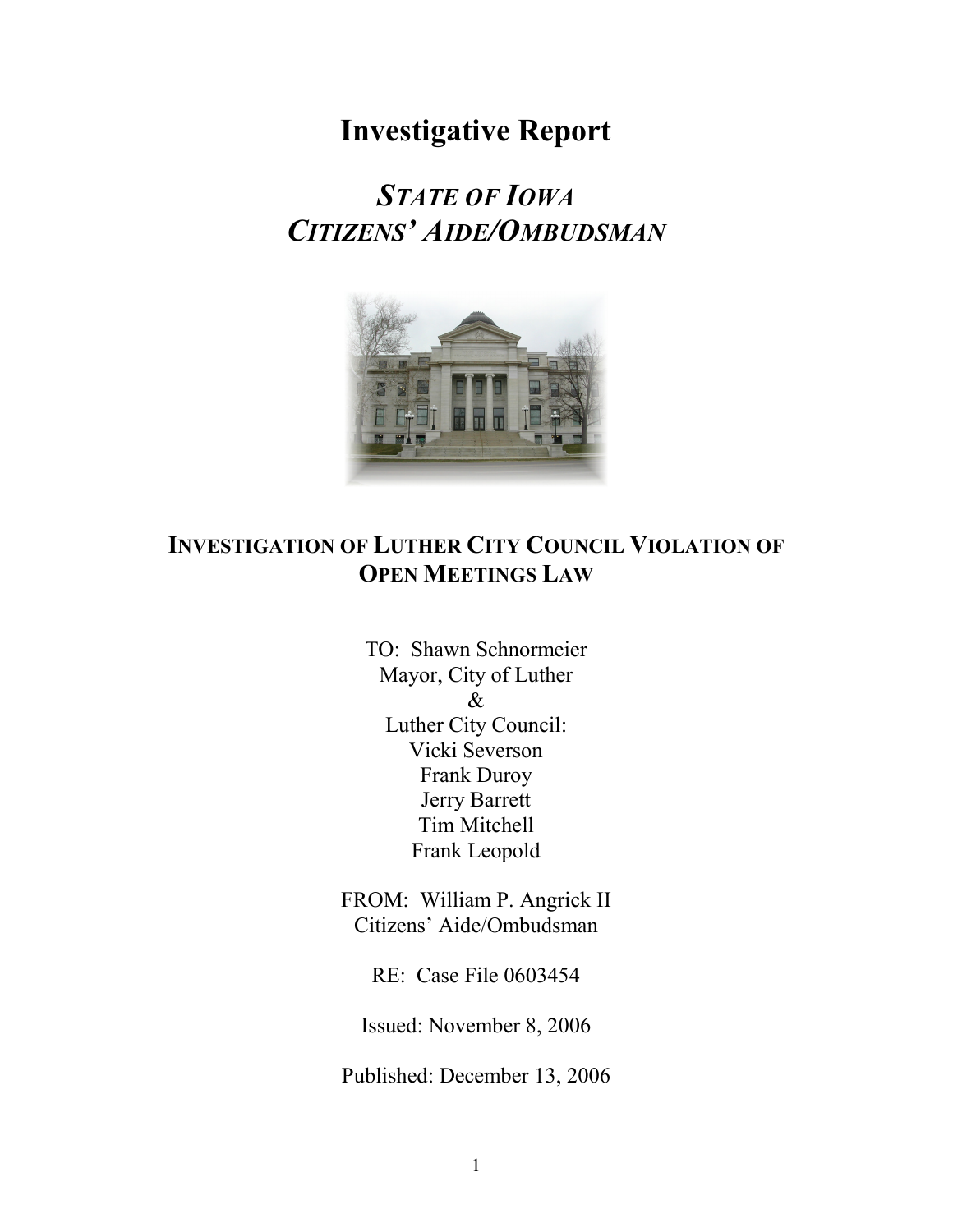# **Investigative Report**

# *STATE OF IOWA CITIZENS' AIDE/OMBUDSMAN*



# **INVESTIGATION OF LUTHER CITY COUNCIL VIOLATION OF OPEN MEETINGS LAW**

TO: Shawn Schnormeier Mayor, City of Luther & Luther City Council: Vicki Severson Frank Duroy Jerry Barrett Tim Mitchell Frank Leopold

FROM:William P. Angrick II Citizens' Aide/Ombudsman

RE: Case File 0603454

Issued: November 8, 2006

Published: December 13, 2006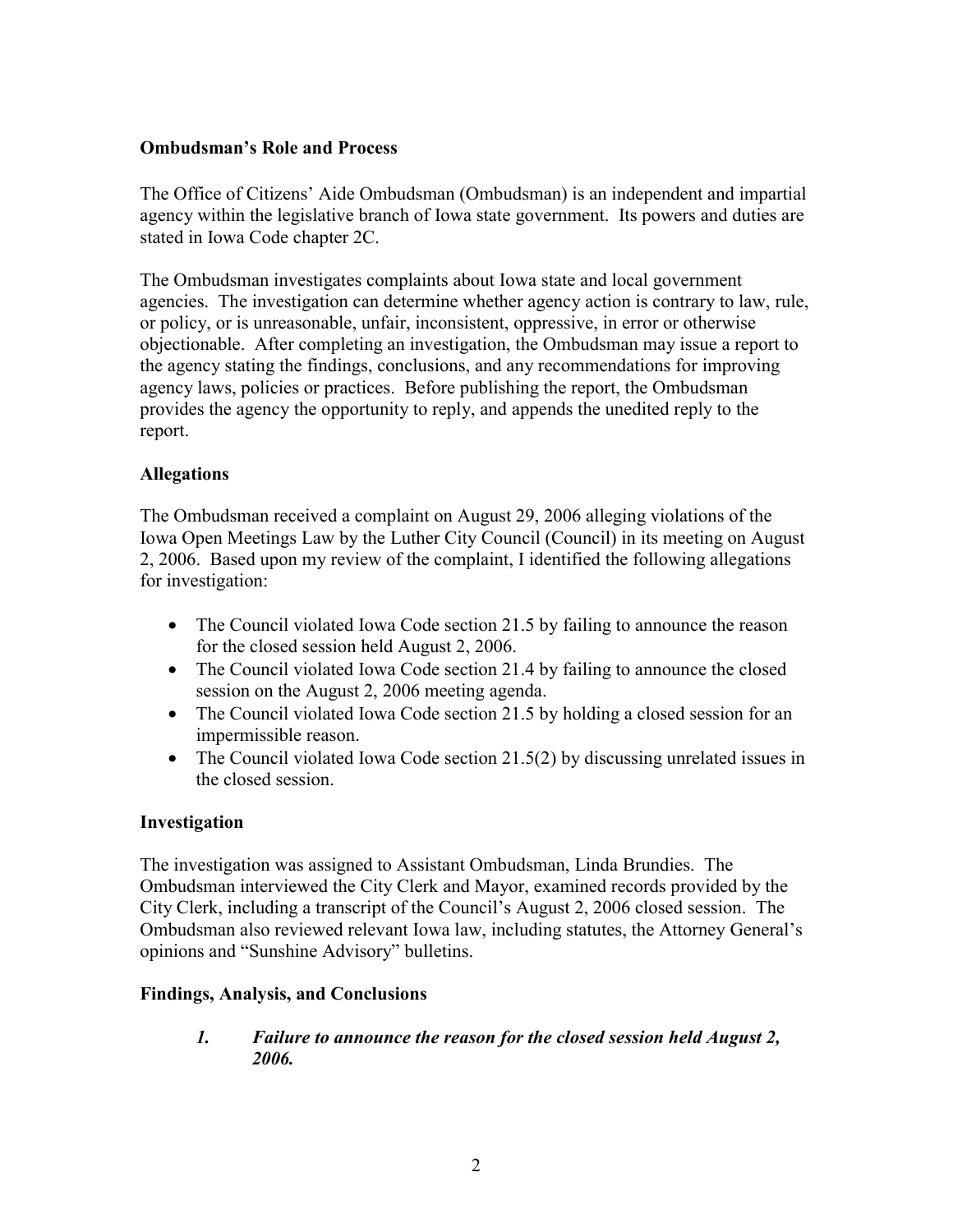### **Ombudsman's Role and Process**

The Office of Citizens' Aide Ombudsman (Ombudsman) is an independent and impartial agency within the legislative branch of Iowa state government. Its powers and duties are stated in Iowa Code chapter 2C.

The Ombudsman investigates complaints about Iowa state and local government agencies. The investigation can determine whether agency action is contrary to law, rule, or policy, or is unreasonable, unfair, inconsistent, oppressive, in error or otherwise objectionable. After completing an investigation, the Ombudsman may issue a report to the agency stating the findings, conclusions, and any recommendations for improving agency laws, policies or practices. Before publishing the report, the Ombudsman provides the agency the opportunity to reply, and appends the unedited reply to the report.

### **Allegations**

The Ombudsman received a complaint on August 29, 2006 alleging violations of the Iowa Open Meetings Law by the Luther City Council (Council) in its meeting on August 2, 2006. Based upon my review of the complaint, I identified the following allegations for investigation:

- The Council violated Iowa Code section 21.5 by failing to announce the reason for the closed session held August 2, 2006.
- The Council violated Iowa Code section 21.4 by failing to announce the closed session on the August 2, 2006 meeting agenda.
- The Council violated Iowa Code section 21.5 by holding a closed session for an impermissible reason.
- The Council violated Iowa Code section 21.5(2) by discussing unrelated issues in the closed session.

#### **Investigation**

The investigation was assigned to Assistant Ombudsman, Linda Brundies. The Ombudsman interviewed the City Clerk and Mayor, examined records provided by the City Clerk, including a transcript of the Council's August 2, 2006 closed session. The Ombudsman also reviewed relevant Iowa law, including statutes, the Attorney General's opinions and "Sunshine Advisory" bulletins.

#### **Findings, Analysis, and Conclusions**

*1. Failure to announce the reason for the closed session held August 2, 2006.*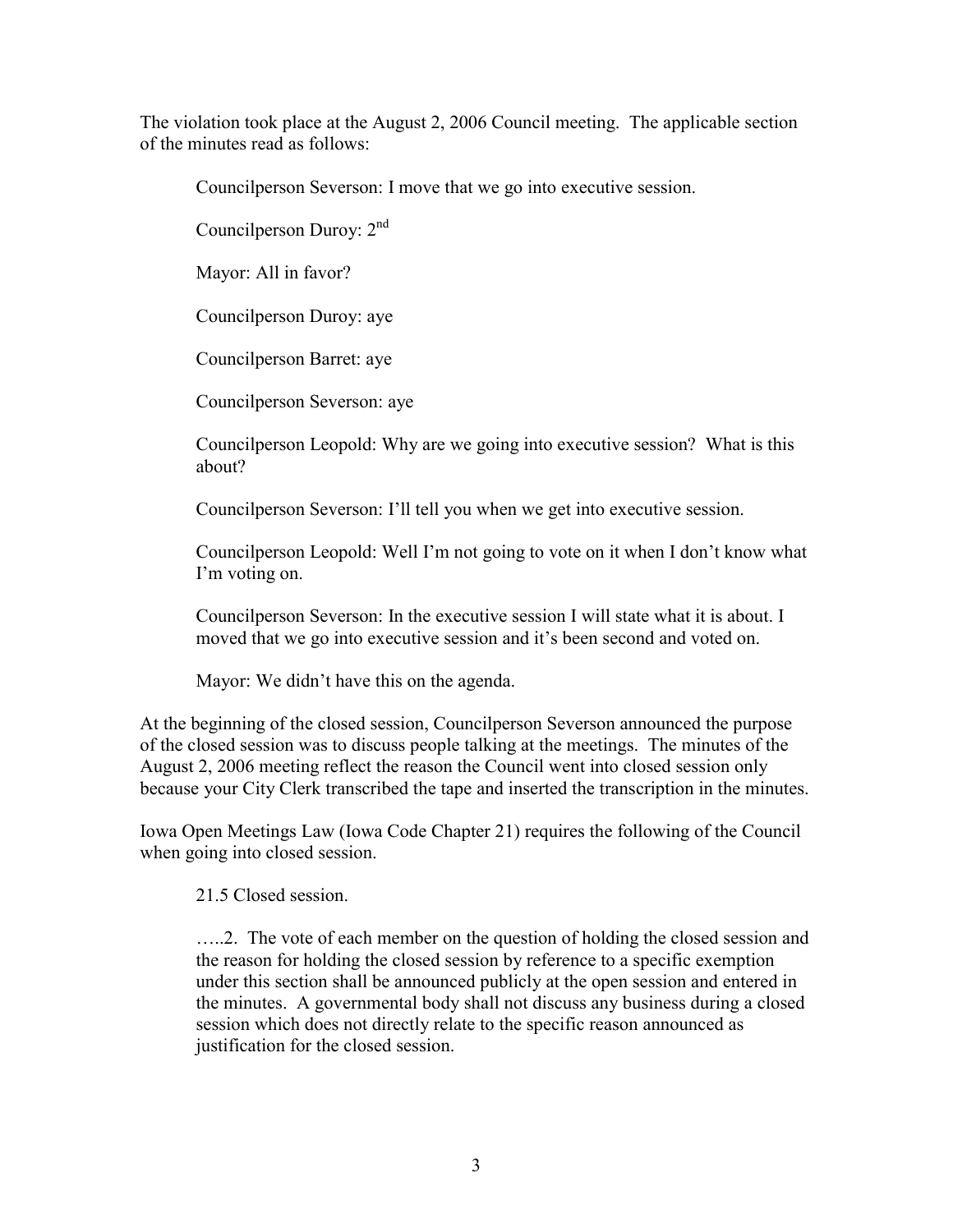The violation took place at the August 2, 2006 Council meeting. The applicable section of the minutes read as follows:

Councilperson Severson: I move that we go into executive session.

Councilperson Duroy: 2nd

Mayor: All in favor?

Councilperson Duroy: aye

Councilperson Barret: aye

Councilperson Severson: aye

Councilperson Leopold: Why are we going into executive session? What is this about?

Councilperson Severson: I'll tell you when we get into executive session.

Councilperson Leopold: Well I'm not going to vote on it when I don't know what I'm voting on.

Councilperson Severson: In the executive session I will state what it is about. I moved that we go into executive session and it's been second and voted on.

Mayor: We didn't have this on the agenda.

At the beginning of the closed session, Councilperson Severson announced the purpose of the closed session was to discuss people talking at the meetings. The minutes of the August 2, 2006 meeting reflect the reason the Council went into closed session only because your City Clerk transcribed the tape and inserted the transcription in the minutes.

Iowa Open Meetings Law (Iowa Code Chapter 21) requires the following of the Council when going into closed session.

21.5 Closed session.

…..2. The vote of each member on the question of holding the closed session and the reason for holding the closed session by reference to a specific exemption under this section shall be announced publicly at the open session and entered in the minutes. A governmental body shall not discuss any business during a closed session which does not directly relate to the specific reason announced as justification for the closed session.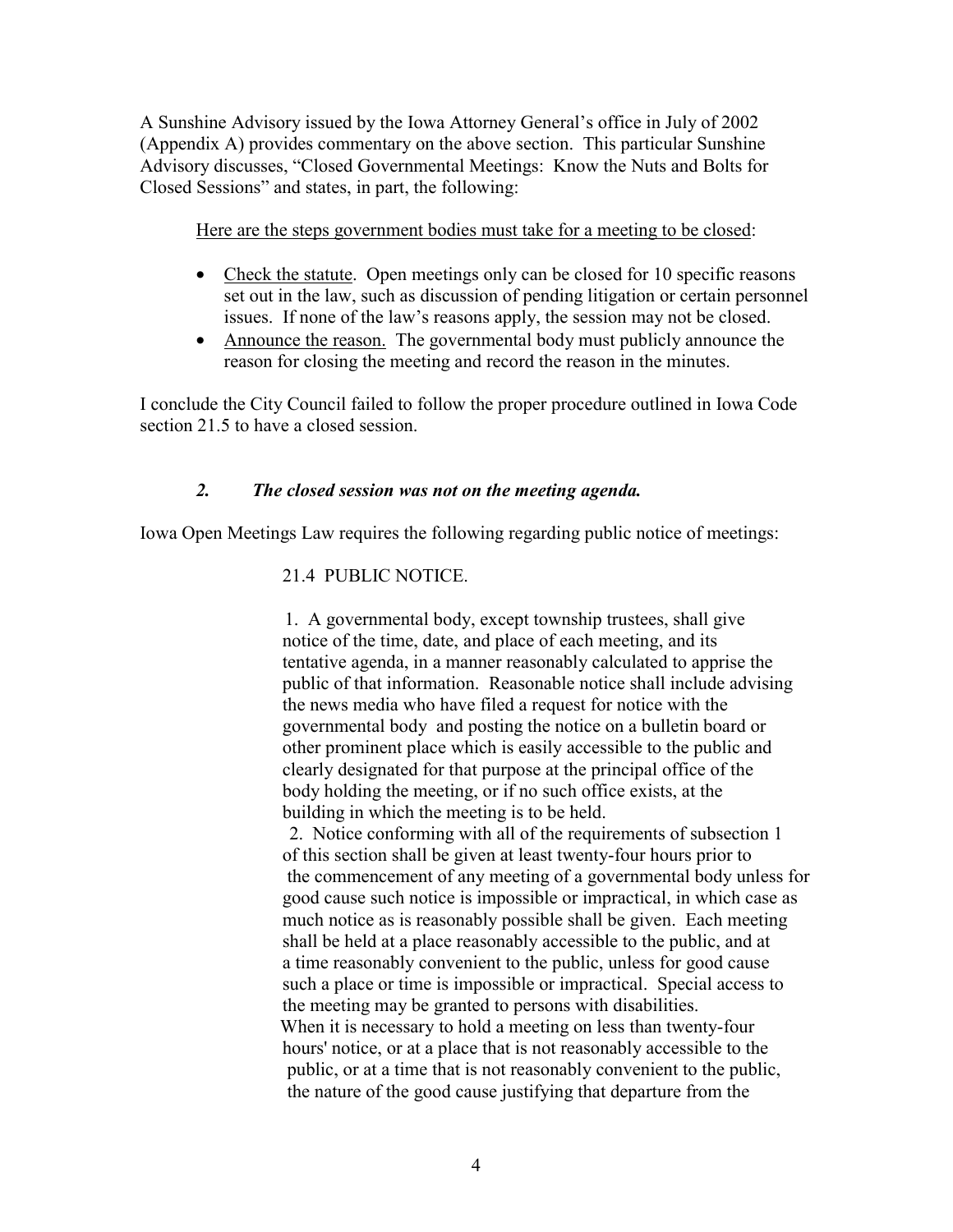A Sunshine Advisory issued by the Iowa Attorney General's office in July of 2002 (Appendix A) provides commentary on the above section. This particular Sunshine Advisory discusses, "Closed Governmental Meetings: Know the Nuts and Bolts for Closed Sessions" and states, in part, the following:

Here are the steps government bodies must take for a meeting to be closed:

- Check the statute. Open meetings only can be closed for 10 specific reasons set out in the law, such as discussion of pending litigation or certain personnel issues. If none of the law's reasons apply, the session may not be closed.
- Announce the reason. The governmental body must publicly announce the reason for closing the meeting and record the reason in the minutes.

I conclude the City Council failed to follow the proper procedure outlined in Iowa Code section 21.5 to have a closed session.

# *2. The closed session was not on the meeting agenda.*

Iowa Open Meetings Law requires the following regarding public notice of meetings:

# 21.4 PUBLIC NOTICE.

 1. A governmental body, except township trustees, shall give notice of the time, date, and place of each meeting, and its tentative agenda, in a manner reasonably calculated to apprise the public of that information. Reasonable notice shall include advising the news media who have filed a request for notice with the governmental body and posting the notice on a bulletin board or other prominent place which is easily accessible to the public and clearly designated for that purpose at the principal office of the body holding the meeting, or if no such office exists, at the building in which the meeting is to be held.

 2. Notice conforming with all of the requirements of subsection 1 of this section shall be given at least twenty-four hours prior to the commencement of any meeting of a governmental body unless for good cause such notice is impossible or impractical, in which case as much notice as is reasonably possible shall be given. Each meeting shall be held at a place reasonably accessible to the public, and at a time reasonably convenient to the public, unless for good cause such a place or time is impossible or impractical. Special access to the meeting may be granted to persons with disabilities. When it is necessary to hold a meeting on less than twenty-four hours' notice, or at a place that is not reasonably accessible to the public, or at a time that is not reasonably convenient to the public, the nature of the good cause justifying that departure from the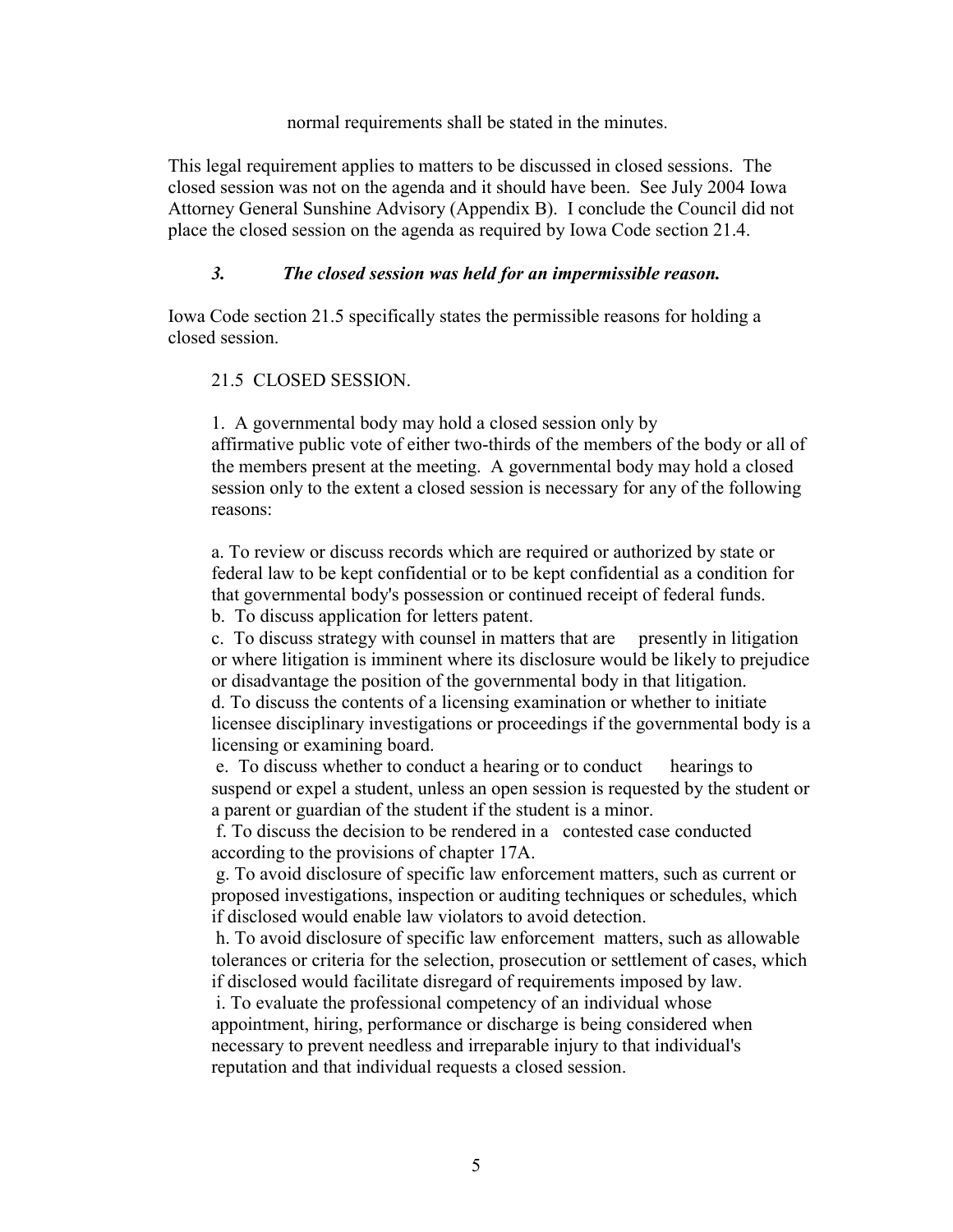normal requirements shall be stated in the minutes.

This legal requirement applies to matters to be discussed in closed sessions. The closed session was not on the agenda and it should have been. See July 2004 Iowa Attorney General Sunshine Advisory (Appendix B). I conclude the Council did not place the closed session on the agenda as required by Iowa Code section 21.4.

### *3. The closed session was held for an impermissible reason.*

Iowa Code section 21.5 specifically states the permissible reasons for holding a closed session.

### 21.5 CLOSED SESSION.

 1. A governmental body may hold a closed session only by affirmative public vote of either two-thirds of the members of the body or all of the members present at the meeting. A governmental body may hold a closed session only to the extent a closed session is necessary for any of the following reasons:

a. To review or discuss records which are required or authorized by state or federal law to be kept confidential or to be kept confidential as a condition for that governmental body's possession or continued receipt of federal funds.

b. To discuss application for letters patent.

c. To discuss strategy with counsel in matters that are presently in litigation or where litigation is imminent where its disclosure would be likely to prejudice or disadvantage the position of the governmental body in that litigation.

d. To discuss the contents of a licensing examination or whether to initiate licensee disciplinary investigations or proceedings if the governmental body is a licensing or examining board.

 e. To discuss whether to conduct a hearing or to conduct hearings to suspend or expel a student, unless an open session is requested by the student or a parent or guardian of the student if the student is a minor.

 f. To discuss the decision to be rendered in a contested case conducted according to the provisions of chapter 17A.

 g. To avoid disclosure of specific law enforcement matters, such as current or proposed investigations, inspection or auditing techniques or schedules, which if disclosed would enable law violators to avoid detection.

 h. To avoid disclosure of specific law enforcement matters, such as allowable tolerances or criteria for the selection, prosecution or settlement of cases, which if disclosed would facilitate disregard of requirements imposed by law.

 i. To evaluate the professional competency of an individual whose appointment, hiring, performance or discharge is being considered when necessary to prevent needless and irreparable injury to that individual's reputation and that individual requests a closed session.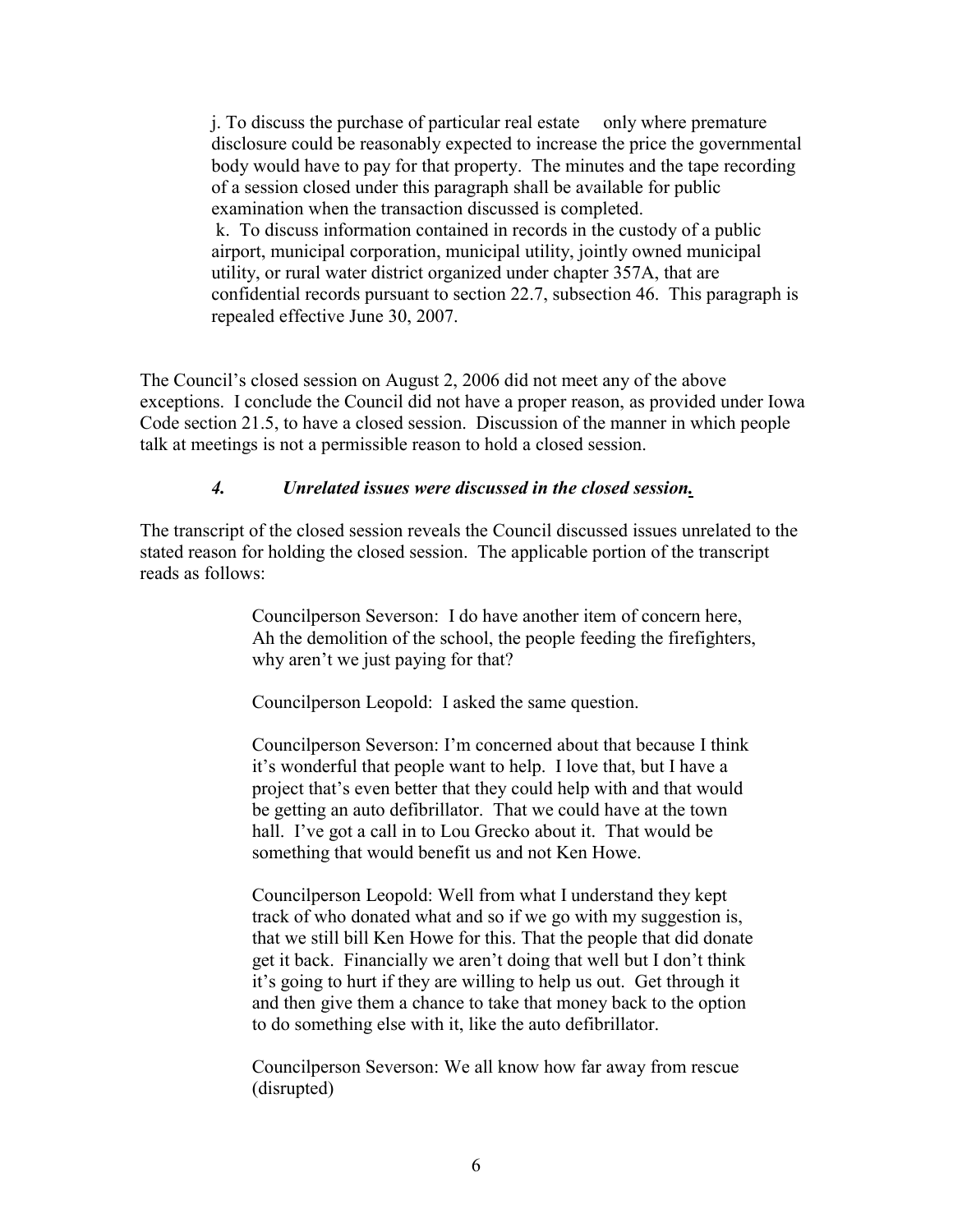j. To discuss the purchase of particular real estate only where premature disclosure could be reasonably expected to increase the price the governmental body would have to pay for that property. The minutes and the tape recording of a session closed under this paragraph shall be available for public examination when the transaction discussed is completed. k. To discuss information contained in records in the custody of a public airport, municipal corporation, municipal utility, jointly owned municipal utility, or rural water district organized under chapter 357A, that are confidential records pursuant to section 22.7, subsection 46. This paragraph is repealed effective June 30, 2007.

The Council's closed session on August 2, 2006 did not meet any of the above exceptions. I conclude the Council did not have a proper reason, as provided under Iowa Code section 21.5, to have a closed session. Discussion of the manner in which people talk at meetings is not a permissible reason to hold a closed session.

#### *4. Unrelated issues were discussed in the closed session.*

The transcript of the closed session reveals the Council discussed issues unrelated to the stated reason for holding the closed session. The applicable portion of the transcript reads as follows:

> Councilperson Severson: I do have another item of concern here, Ah the demolition of the school, the people feeding the firefighters, why aren't we just paying for that?

Councilperson Leopold: I asked the same question.

Councilperson Severson: I'm concerned about that because I think it's wonderful that people want to help. I love that, but I have a project that's even better that they could help with and that would be getting an auto defibrillator. That we could have at the town hall. I've got a call in to Lou Grecko about it. That would be something that would benefit us and not Ken Howe.

Councilperson Leopold: Well from what I understand they kept track of who donated what and so if we go with my suggestion is, that we still bill Ken Howe for this. That the people that did donate get it back. Financially we aren't doing that well but I don't think it's going to hurt if they are willing to help us out. Get through it and then give them a chance to take that money back to the option to do something else with it, like the auto defibrillator.

Councilperson Severson: We all know how far away from rescue (disrupted)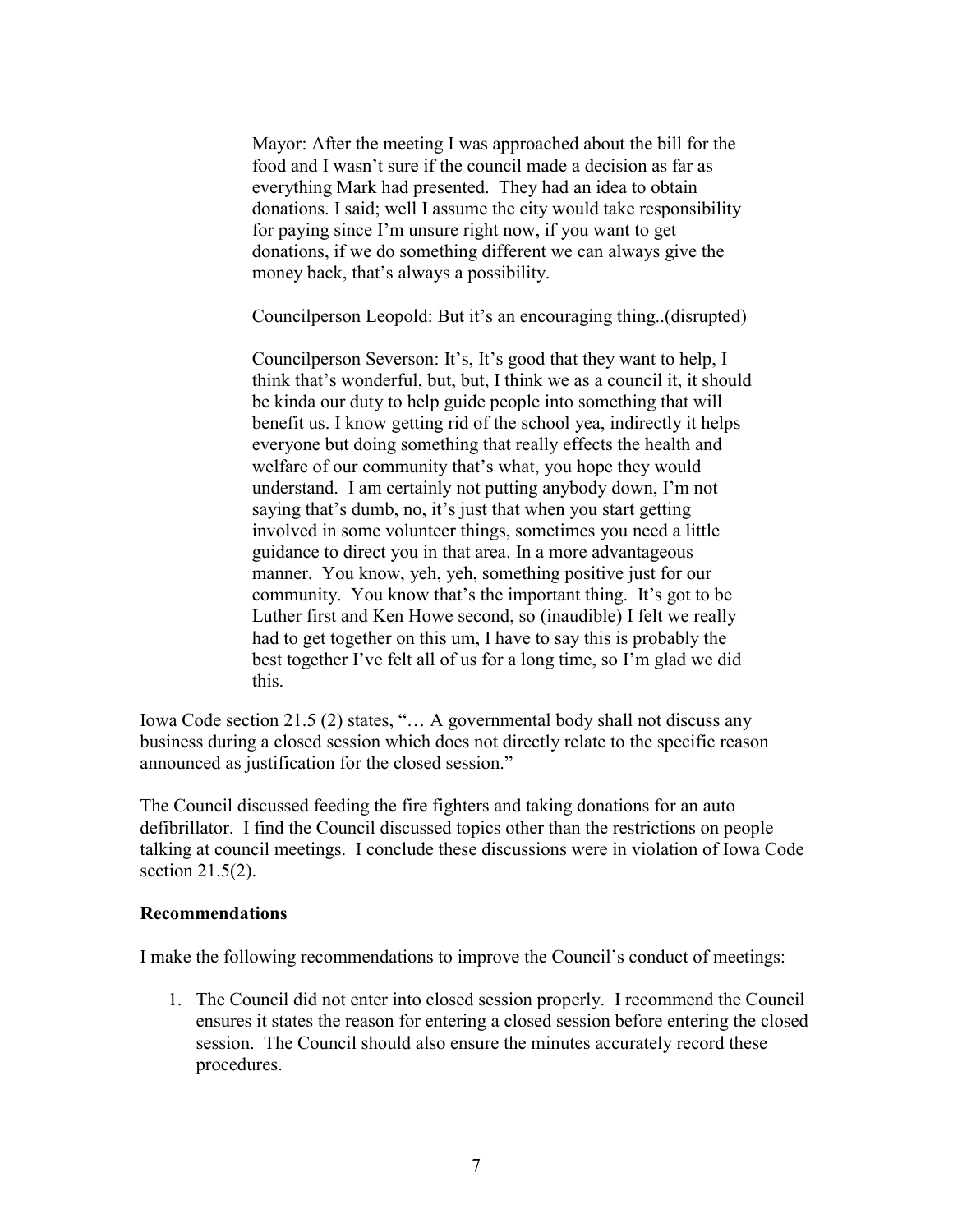Mayor: After the meeting I was approached about the bill for the food and I wasn't sure if the council made a decision as far as everything Mark had presented. They had an idea to obtain donations. I said; well I assume the city would take responsibility for paying since I'm unsure right now, if you want to get donations, if we do something different we can always give the money back, that's always a possibility.

Councilperson Leopold: But it's an encouraging thing..(disrupted)

Councilperson Severson: It's, It's good that they want to help, I think that's wonderful, but, but, I think we as a council it, it should be kinda our duty to help guide people into something that will benefit us. I know getting rid of the school yea, indirectly it helps everyone but doing something that really effects the health and welfare of our community that's what, you hope they would understand. I am certainly not putting anybody down, I'm not saying that's dumb, no, it's just that when you start getting involved in some volunteer things, sometimes you need a little guidance to direct you in that area. In a more advantageous manner. You know, yeh, yeh, something positive just for our community. You know that's the important thing. It's got to be Luther first and Ken Howe second, so (inaudible) I felt we really had to get together on this um, I have to say this is probably the best together I've felt all of us for a long time, so I'm glad we did this.

Iowa Code section 21.5 (2) states, "… A governmental body shall not discuss any business during a closed session which does not directly relate to the specific reason announced as justification for the closed session."

The Council discussed feeding the fire fighters and taking donations for an auto defibrillator. I find the Council discussed topics other than the restrictions on people talking at council meetings. I conclude these discussions were in violation of Iowa Code section 21.5(2).

#### **Recommendations**

I make the following recommendations to improve the Council's conduct of meetings:

1. The Council did not enter into closed session properly. I recommend the Council ensures it states the reason for entering a closed session before entering the closed session. The Council should also ensure the minutes accurately record these procedures.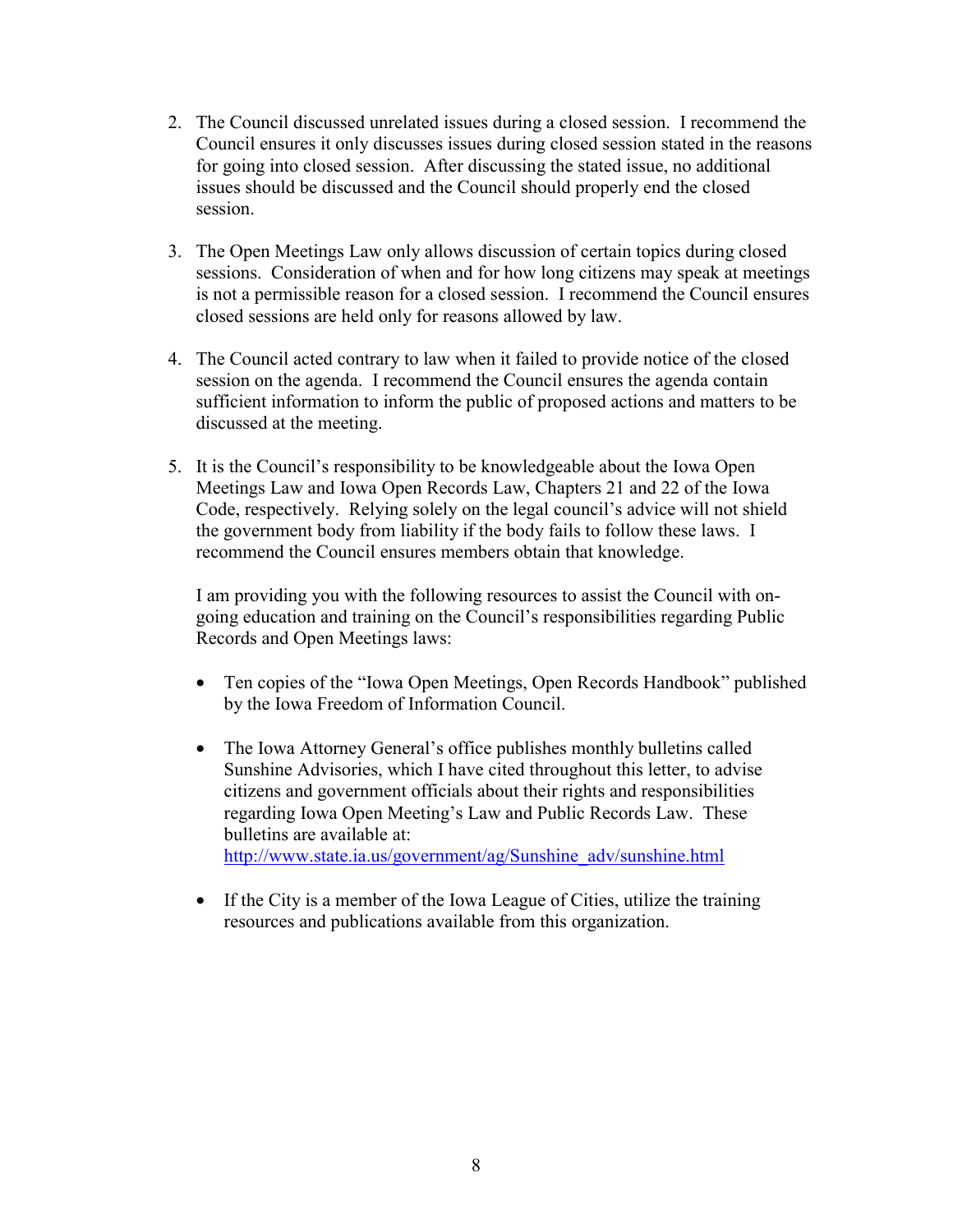- 2. The Council discussed unrelated issues during a closed session. I recommend the Council ensures it only discusses issues during closed session stated in the reasons for going into closed session. After discussing the stated issue, no additional issues should be discussed and the Council should properly end the closed session.
- 3. The Open Meetings Law only allows discussion of certain topics during closed sessions. Consideration of when and for how long citizens may speak at meetings is not a permissible reason for a closed session. I recommend the Council ensures closed sessions are held only for reasons allowed by law.
- 4. The Council acted contrary to law when it failed to provide notice of the closed session on the agenda. I recommend the Council ensures the agenda contain sufficient information to inform the public of proposed actions and matters to be discussed at the meeting.
- 5. It is the Council's responsibility to be knowledgeable about the Iowa Open Meetings Law and Iowa Open Records Law, Chapters 21 and 22 of the Iowa Code, respectively. Relying solely on the legal council's advice will not shield the government body from liability if the body fails to follow these laws. I recommend the Council ensures members obtain that knowledge.

I am providing you with the following resources to assist the Council with ongoing education and training on the Council's responsibilities regarding Public Records and Open Meetings laws:

- Ten copies of the "Iowa Open Meetings, Open Records Handbook" published by the Iowa Freedom of Information Council.
- The Iowa Attorney General's office publishes monthly bulletins called Sunshine Advisories, which I have cited throughout this letter, to advise citizens and government officials about their rights and responsibilities regarding Iowa Open Meeting's Law and Public Records Law. These bulletins are available at: [http://www.state.ia.us/government/ag/Sunshine\\_adv/sunshine.html](http://www.state.ia.us/government/ag/Sunshine_adv/sunshine.html)
- If the City is a member of the Iowa League of Cities, utilize the training resources and publications available from this organization.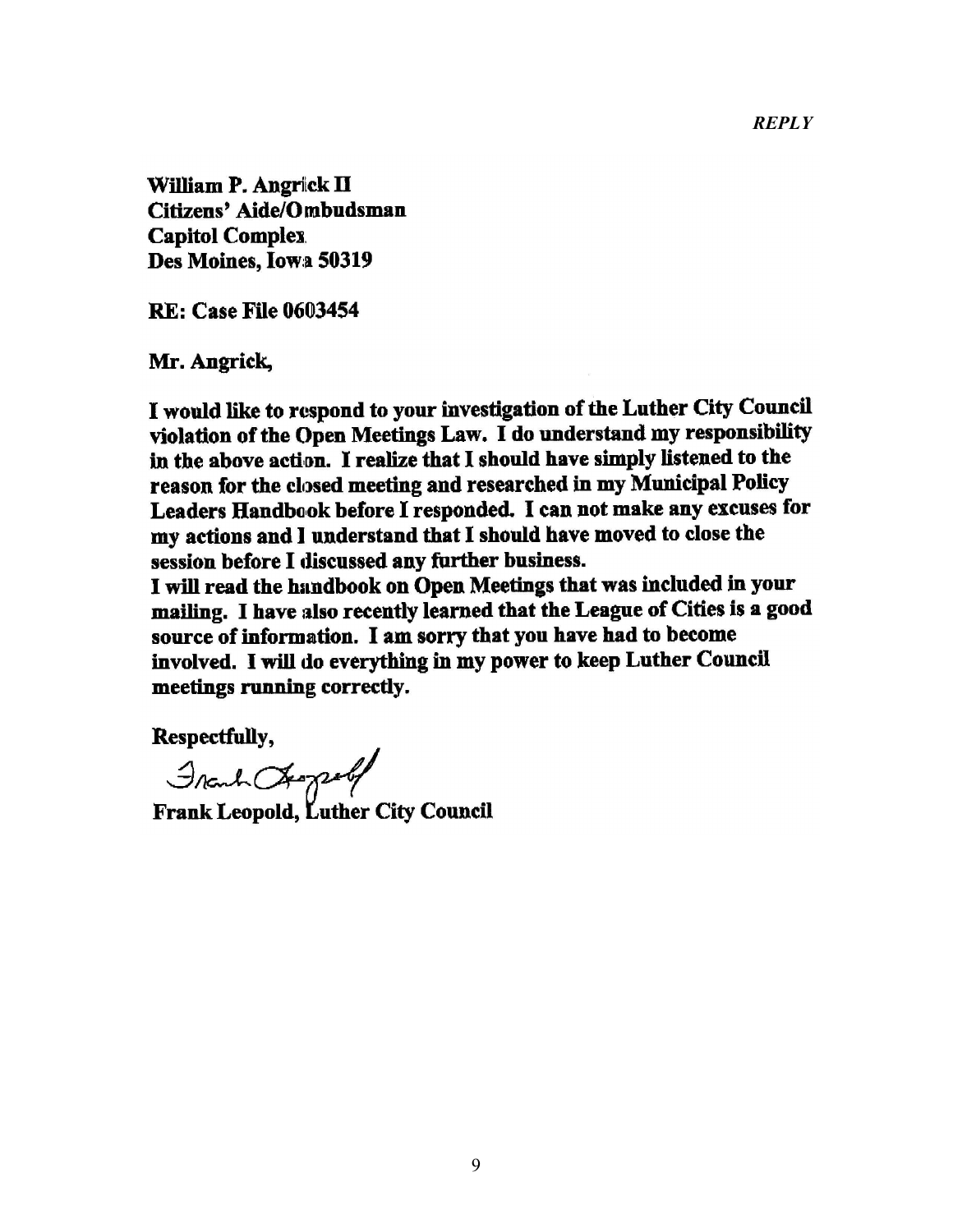*REPLY* 

William P. Angrick II Citizens' Aide/Ombudsman **Capitol Complex** Des Moines, Iowa 50319

**RE: Case File 0603454** 

Mr. Angrick,

I would like to respond to your investigation of the Luther City Council violation of the Open Meetings Law. I do understand my responsibility in the above action. I realize that I should have simply listened to the reason for the closed meeting and researched in my Municipal Policy Leaders Handbook before I responded. I can not make any excuses for my actions and I understand that I should have moved to close the session before I discussed any further business.

I will read the handbook on Open Meetings that was included in your mailing. I have also recently learned that the League of Cities is a good source of information. I am sorry that you have had to become involved. I will do everything in my power to keep Luther Council meetings running correctly.

Respectfully,

Frank Chaptelf<br>Frank Leopold, Luther City Council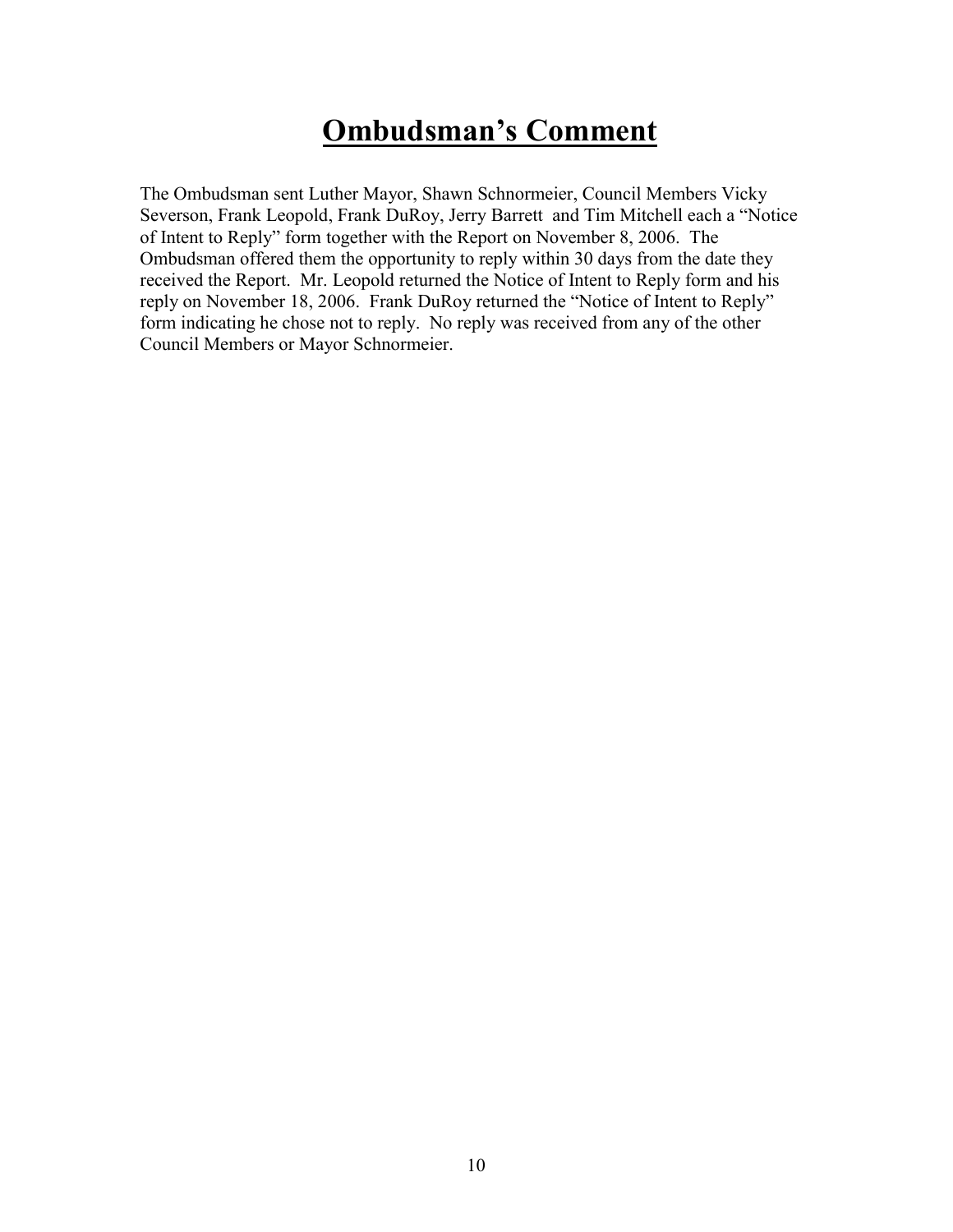# **Ombudsman's Comment**

The Ombudsman sent Luther Mayor, Shawn Schnormeier, Council Members Vicky Severson, Frank Leopold, Frank DuRoy, Jerry Barrett and Tim Mitchell each a "Notice of Intent to Reply" form together with the Report on November 8, 2006. The Ombudsman offered them the opportunity to reply within 30 days from the date they received the Report. Mr. Leopold returned the Notice of Intent to Reply form and his reply on November 18, 2006. Frank DuRoy returned the "Notice of Intent to Reply" form indicating he chose not to reply. No reply was received from any of the other Council Members or Mayor Schnormeier.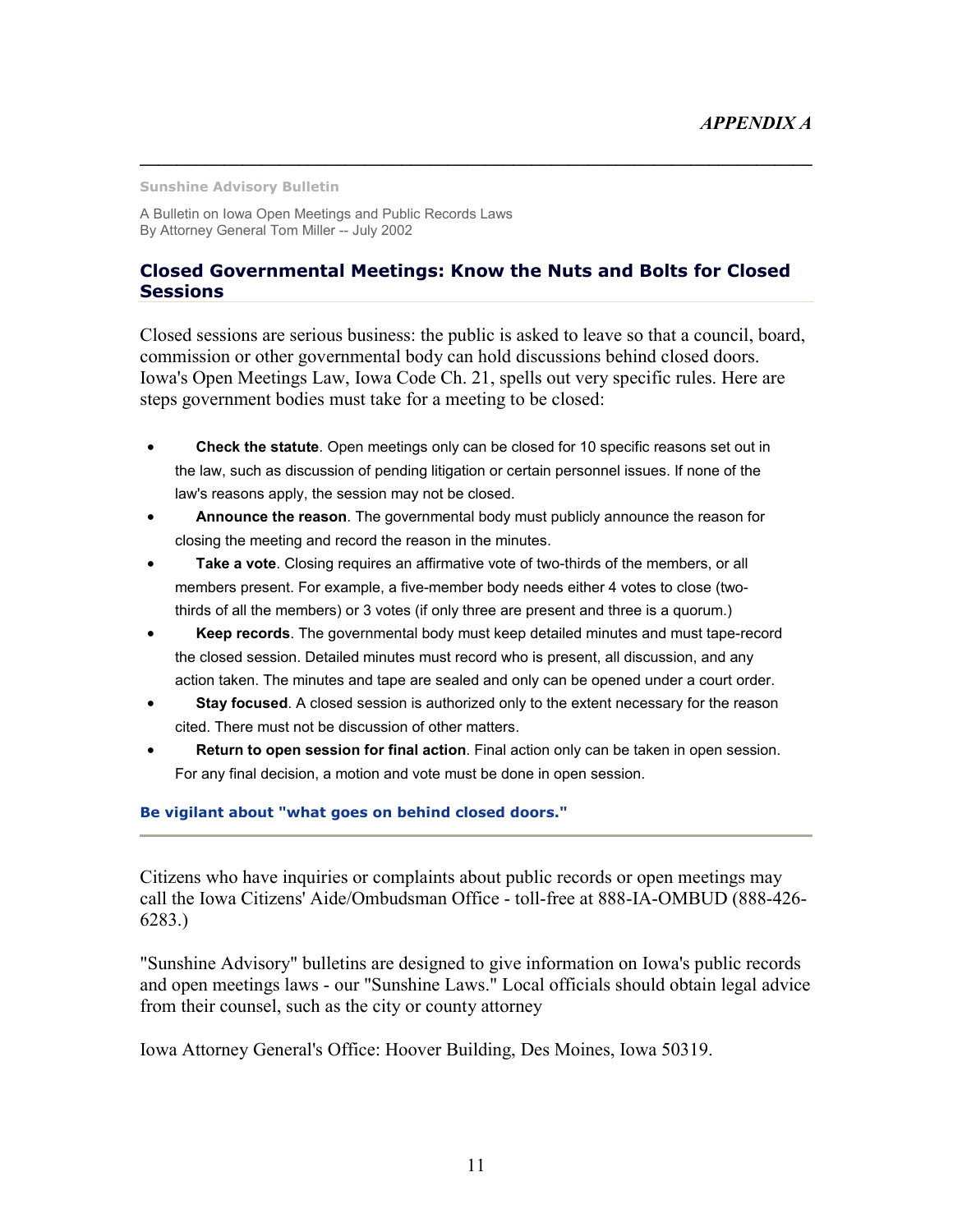**Sunshine Advisory Bulletin** 

A Bulletin on Iowa Open Meetings and Public Records Laws By Attorney General Tom Miller -- July 2002

### **Closed Governmental Meetings: Know the Nuts and Bolts for Closed Sessions**

**\_\_\_\_\_\_\_\_\_\_\_\_\_\_\_\_\_\_\_\_\_\_\_\_\_\_\_\_\_\_\_\_\_\_\_\_\_\_\_\_\_\_\_\_\_\_\_\_\_\_\_\_\_\_\_\_\_\_\_\_\_\_\_\_\_\_\_\_\_\_\_\_** 

Closed sessions are serious business: the public is asked to leave so that a council, board, commission or other governmental body can hold discussions behind closed doors. Iowa's Open Meetings Law, Iowa Code Ch. 21, spells out very specific rules. Here are steps government bodies must take for a meeting to be closed:

- **Check the statute**. Open meetings only can be closed for 10 specific reasons set out in the law, such as discussion of pending litigation or certain personnel issues. If none of the law's reasons apply, the session may not be closed.
- **Announce the reason**. The governmental body must publicly announce the reason for closing the meeting and record the reason in the minutes.
- **Take a vote**. Closing requires an affirmative vote of two-thirds of the members, or all members present. For example, a five-member body needs either 4 votes to close (twothirds of all the members) or 3 votes (if only three are present and three is a quorum.)
- **Keep records**. The governmental body must keep detailed minutes and must tape-record the closed session. Detailed minutes must record who is present, all discussion, and any action taken. The minutes and tape are sealed and only can be opened under a court order.
- **Stay focused**. A closed session is authorized only to the extent necessary for the reason cited. There must not be discussion of other matters.
- **Return to open session for final action**. Final action only can be taken in open session. For any final decision, a motion and vote must be done in open session.

#### **Be vigilant about "what goes on behind closed doors."**

Citizens who have inquiries or complaints about public records or open meetings may call the Iowa Citizens' Aide/Ombudsman Office - toll-free at 888-IA-OMBUD (888-426- 6283.)

"Sunshine Advisory" bulletins are designed to give information on Iowa's public records and open meetings laws - our "Sunshine Laws." Local officials should obtain legal advice from their counsel, such as the city or county attorney

Iowa Attorney General's Office: Hoover Building, Des Moines, Iowa 50319.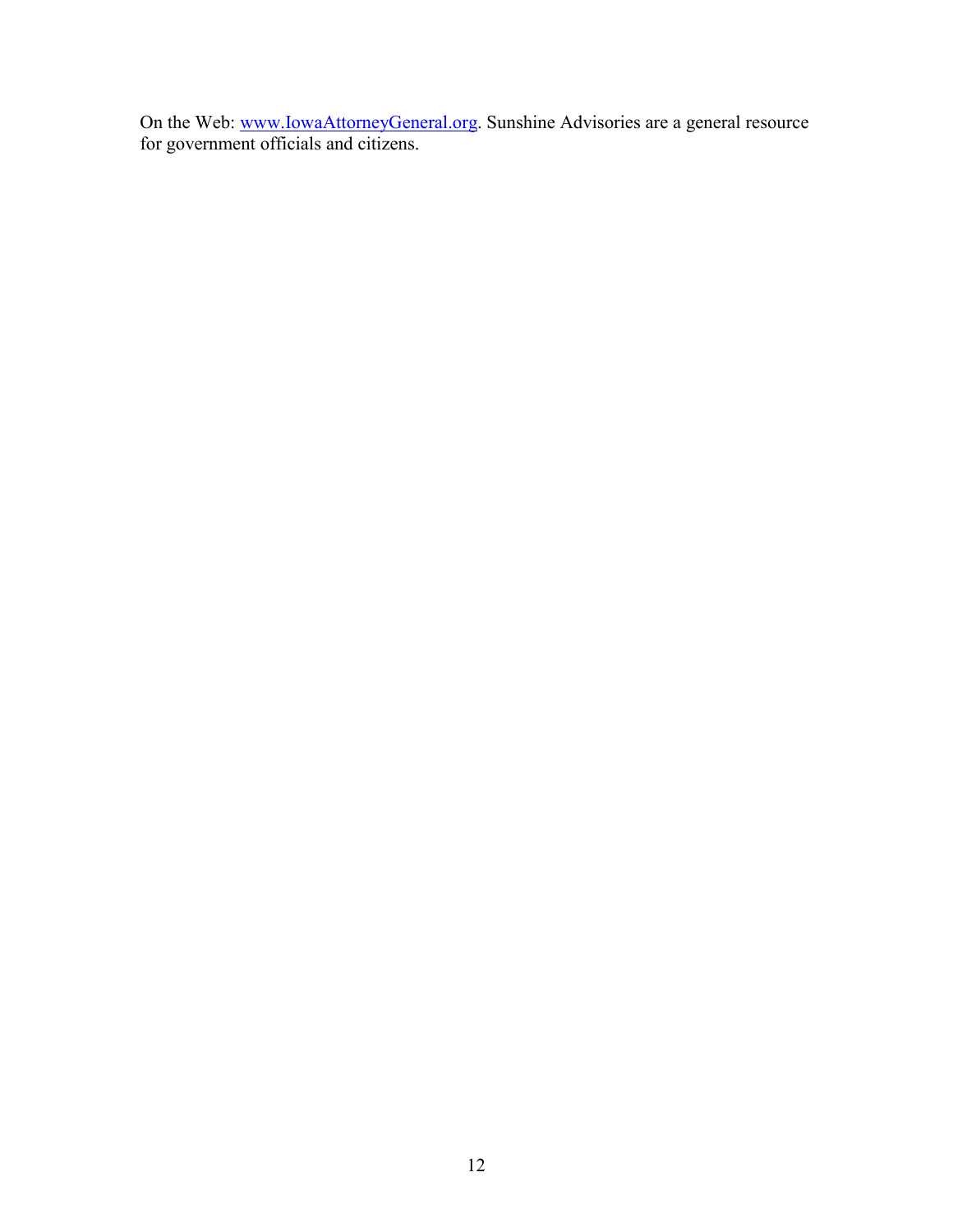On the Web: www.lowaAttorneyGeneral.org. Sunshine Advisories are a general resource for government officials and citizens.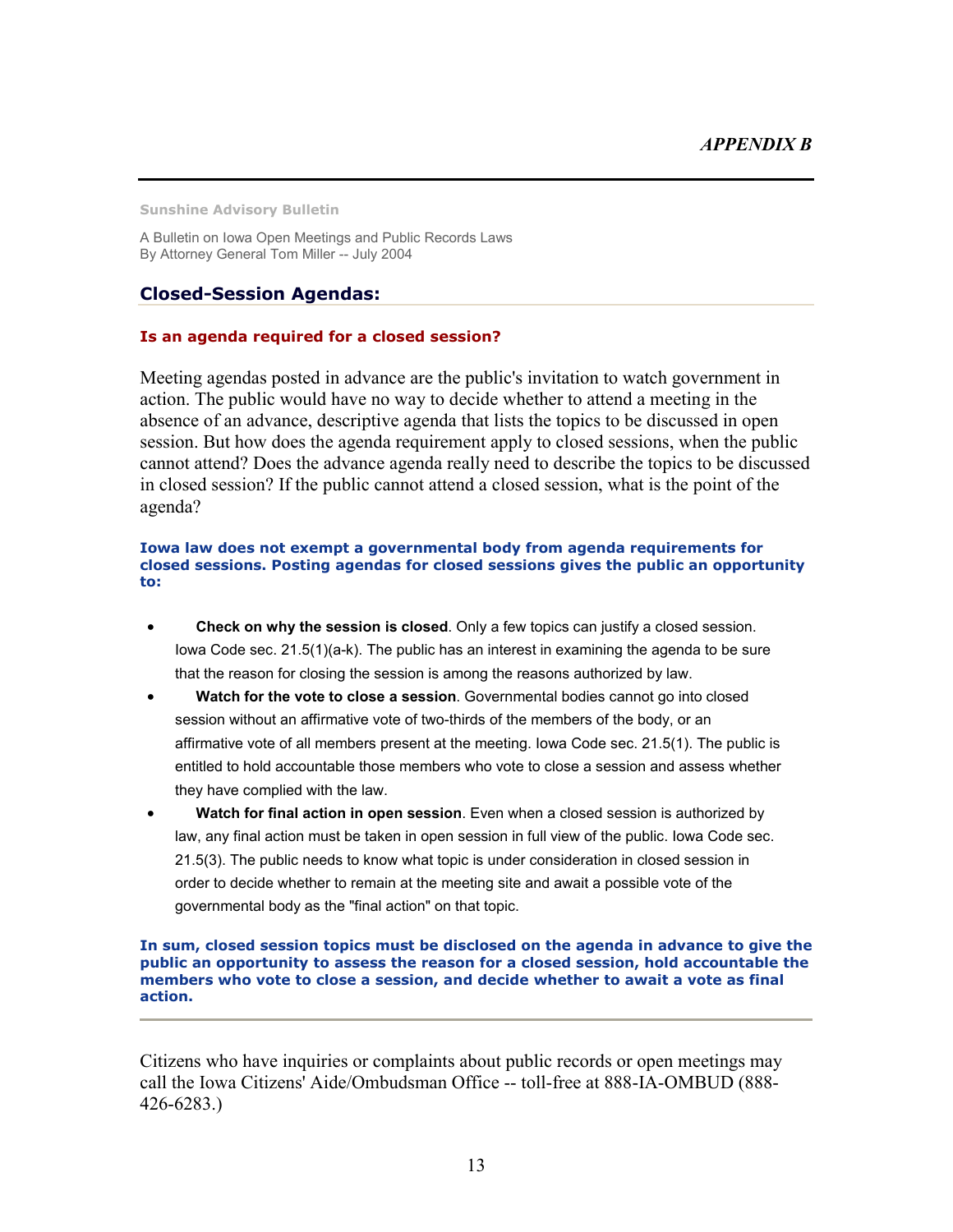**Sunshine Advisory Bulletin** 

A Bulletin on Iowa Open Meetings and Public Records Laws By Attorney General Tom Miller -- July 2004

### **Closed-Session Agendas:**

#### **Is an agenda required for a closed session?**

Meeting agendas posted in advance are the public's invitation to watch government in action. The public would have no way to decide whether to attend a meeting in the absence of an advance, descriptive agenda that lists the topics to be discussed in open session. But how does the agenda requirement apply to closed sessions, when the public cannot attend? Does the advance agenda really need to describe the topics to be discussed in closed session? If the public cannot attend a closed session, what is the point of the agenda?

#### **Iowa law does not exempt a governmental body from agenda requirements for closed sessions. Posting agendas for closed sessions gives the public an opportunity to:**

- **Check on why the session is closed**. Only a few topics can justify a closed session. Iowa Code sec. 21.5(1)(a-k). The public has an interest in examining the agenda to be sure that the reason for closing the session is among the reasons authorized by law.
- **Watch for the vote to close a session**. Governmental bodies cannot go into closed session without an affirmative vote of two-thirds of the members of the body, or an affirmative vote of all members present at the meeting. Iowa Code sec. 21.5(1). The public is entitled to hold accountable those members who vote to close a session and assess whether they have complied with the law.
- **Watch for final action in open session**. Even when a closed session is authorized by law, any final action must be taken in open session in full view of the public. Iowa Code sec. 21.5(3). The public needs to know what topic is under consideration in closed session in order to decide whether to remain at the meeting site and await a possible vote of the governmental body as the "final action" on that topic.

#### **In sum, closed session topics must be disclosed on the agenda in advance to give the public an opportunity to assess the reason for a closed session, hold accountable the members who vote to close a session, and decide whether to await a vote as final action.**

Citizens who have inquiries or complaints about public records or open meetings may call the Iowa Citizens' Aide/Ombudsman Office -- toll-free at 888-IA-OMBUD (888- 426-6283.)